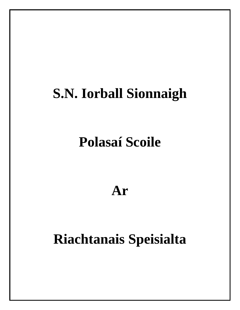# **S.N. Iorball Sionnaigh**

# **Polasaí Scoile**

### **Ar**

## **Riachtanais Speisialta**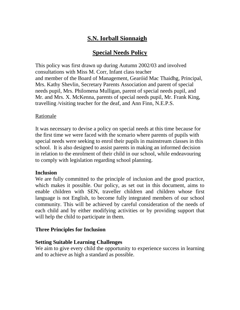### **S.N. Iorball Sionnaigh**

### **Special Needs Policy**

This policy was first drawn up during Autumn 2002/03 and involved consultations with Miss M. Corr, Infant class teacher and member of the Board of Management, Gearóid Mac Thaidhg, Principal, Mrs. Kathy Shevlin, Secretary Parents Association and parent of special needs pupil, Mrs. Philomena Mulligan, parent of special needs pupil, and Mr. and Mrs. X. McKenna, parents of special needs pupil, Mr. Frank King, travelling /visiting teacher for the deaf, and Ann Finn, N.E.P.S.

#### Rationale

It was necessary to devise a policy on special needs at this time because for the first time we were faced with the scenario where parents of pupils with special needs were seeking to enrol their pupils in mainstream classes in this school. It is also designed to assist parents in making an informed decision in relation to the enrolment of their child in our school, while endeavouring to comply with legislation regarding school planning.

#### **Inclusion**

We are fully committed to the principle of inclusion and the good practice, which makes it possible. Our policy, as set out in this document, aims to enable children with SEN, traveller children and children whose first language is not English, to become fully integrated members of our school community. This will be achieved by careful consideration of the needs of each child and by either modifying activities or by providing support that will help the child to participate in them.

#### **Three Principles for Inclusion**

#### **Setting Suitable Learning Challenges**

We aim to give every child the opportunity to experience success in learning and to achieve as high a standard as possible.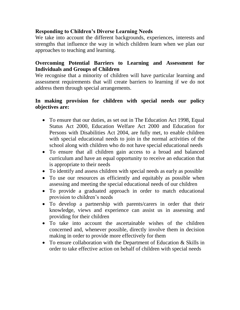#### **Responding to Children's Diverse Learning Needs**

We take into account the different backgrounds, experiences, interests and strengths that influence the way in which children learn when we plan our approaches to teaching and learning.

#### **Overcoming Potential Barriers to Learning and Assessment for Individuals and Groups of Children**

We recognise that a minority of children will have particular learning and assessment requirements that will create barriers to learning if we do not address them through special arrangements.

#### **In making provision for children with special needs our policy objectives are:**

- To ensure that our duties, as set out in The Education Act 1998, Equal Status Act 2000, Education Welfare Act 2000 and Education for Persons with Disabilities Act 2004, are fully met, to enable children with special educational needs to join in the normal activities of the school along with children who do not have special educational needs
- To ensure that all children gain access to a broad and balanced curriculum and have an equal opportunity to receive an education that is appropriate to their needs
- To identify and assess children with special needs as early as possible
- To use our resources as efficiently and equitably as possible when assessing and meeting the special educational needs of our children
- To provide a graduated approach in order to match educational provision to children's needs
- To develop a partnership with parents/carers in order that their knowledge, views and experience can assist us in assessing and providing for their children
- To take into account the ascertainable wishes of the children concerned and, whenever possible, directly involve them in decision making in order to provide more effectively for them
- To ensure collaboration with the Department of Education & Skills in order to take effective action on behalf of children with special needs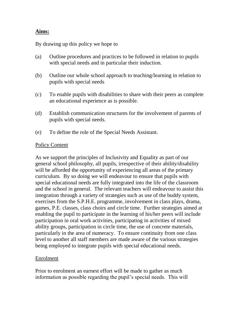#### **Aims:**

By drawing up this policy we hope to

- (a) Outline procedures and practices to be followed in relation to pupils with special needs and in particular their induction.
- (b) Outline our whole school approach to teaching/learning in relation to pupils with special needs
- (c) To enable pupils with disabilities to share with their peers as complete an educational experience as is possible.
- (d) Establish communication structures for the involvement of parents of pupils with special needs.
- (e) To define the role of the Special Needs Assistant.

#### Policy Content

As we support the principles of Inclusivity and Equality as part of our general school philosophy, all pupils, irrespective of their ability/disability will be afforded the opportunity of experiencing all areas of the primary curriculum. By so doing we will endeavour to ensure that pupils with special educational needs are fully integrated into the life of the classroom and the school in general. The relevant teachers will endeavour to assist this integration through a variety of strategies such as use of the buddy system, exercises from the S.P.H.E. programme, involvement in class plays, drama, games, P.E. classes, class choirs and circle time. Further strategies aimed at enabling the pupil to participate in the learning of his/her peers will include participation in oral work activities, participating in activities of mixed ability groups, participation in circle time, the use of concrete materials, particularly in the area of numeracy. To ensure continuity from one class level to another all staff members are made aware of the various strategies being employed to integrate pupils with special educational needs.

#### Enrolment

Prior to enrolment an earnest effort will be made to gather as much information as possible regarding the pupil's special needs. This will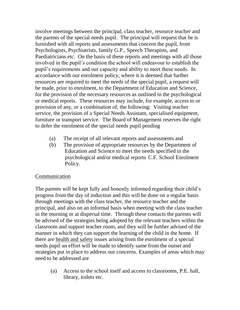involve meetings between the principal, class teacher, resource teacher and the parents of the special needs pupil. The principal will request that he is furnished with all reports and assessments that concern the pupil, from Psychologists, Psychiatrists, family G.P., Speech Therapists, and Paediatricians etc. On the basis of these reports and meetings with all those involved in the pupil's condition the school will endeavour to establish the pupil's requirements and our capacity and ability to meet these needs. In accordance with our enrolment policy, where it is deemed that further resources are required to meet the needs of the special pupil, a request will be made, prior to enrolment, to the Department of Education and Science, for the provision of the necessary resources as outlined in the psychological or medical reports. These resources may include, for example, access to or provision of any, or a combination of, the following: Visiting teacher service, the provision of a Special Needs Assistant, specialised equipment, furniture or transport service. The Board of Management reserves the right to defer the enrolment of the special needs pupil pending

- (a) The receipt of all relevant reports and assessments and
- (b) The provision of appropriate resources by the Department of Education and Science to meet the needs specified in the psychological and/or medical reports C.F. School Enrolment Policy.

#### Communication

The parents will be kept fully and honestly informed regarding their child's progress from the day of induction and this will be done on a regular basis through meetings with the class teacher, the resource teacher and the principal, and also on an informal basis when meeting with the class teacher in the morning or at dispersal time. Through these contacts the parents will be advised of the strategies being adopted by the relevant teachers within the classroom and support teacher room, and they will be further advised of the manner in which they can support the learning of the child in the home. If there are health and safety issues arising from the enrolment of a special needs pupil an effort will be made to identify same from the outset and strategies put in place to address our concerns. Examples of areas which may need to be addressed are

(a) Access to the school itself and access to classrooms, P.E. hall, library, toilets etc.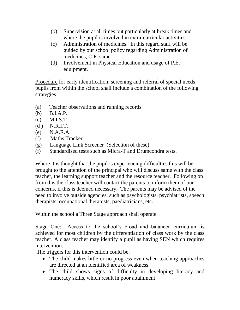- (b) Supervision at all times but particularly at break times and where the pupil is involved in extra-curricular activities.
- (c) Administration of medicines. In this regard staff will be guided by our school policy regarding Administration of medicines, C.F. same.
- (d) Involvement in Physical Education and usage of P.E. equipment.

Procedure for early identification, screening and referral of special needs pupils from within the school shall include a combination of the following strategies

- (a) Teacher observations and running records
- (b) B.I.A.P.
- (c) M.I.S.T
- (d ) N.R.I.T.
- (e) N.A.R.A.
- (f) Maths Tracker
- (g) Language Link Screener (Selection of these)
- (f) Standardised tests such as Micra-T and Drumcondra tests.

Where it is thought that the pupil is experiencing difficulties this will be brought to the attention of the principal who will discuss same with the class teacher, the learning support teacher and the resource teacher. Following on from this the class teacher will contact the parents to inform them of our concerns, if this is deemed necessary. The parents may be advised of the need to involve outside agencies, such as psychologists, psychiatrists, speech therapists, occupational therapists, paediatricians, etc.

Within the school a Three Stage approach shall operate

Stage One: Access to the school's broad and balanced curriculum is achieved for most children by the differentiation of class work by the class teacher. A class teacher may identify a pupil as having SEN which requires intervention.

The triggers for this intervention could be;

- The child makes little or no progress even when teaching approaches are directed at an identified area of weakness
- The child shows signs of difficulty in developing literacy and numeracy skills, which result in poor attainment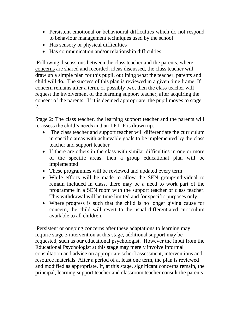- Persistent emotional or behavioural difficulties which do not respond to behaviour management techniques used by the school
- Has sensory or physical difficulties
- Has communication and/or relationship difficulties

Following discussions between the class teacher and the parents, where concerns are shared and recorded, ideas discussed, the class teacher will draw up a simple plan for this pupil, outlining what the teacher, parents and child will do. The success of this plan is reviewed in a given time frame. If concern remains after a term, or possibly two, then the class teacher will request the involvement of the learning support teacher, after acquiring the consent of the parents. If it is deemed appropriate, the pupil moves to stage 2.

Stage 2: The class teacher, the learning support teacher and the parents will re-assess the child's needs and an I.P.L.P is drawn up.

- The class teacher and support teacher will differentiate the curriculum in specific areas with achievable goals to be implemented by the class teacher and support teacher
- If there are others in the class with similar difficulties in one or more of the specific areas, then a group educational plan will be implemented
- These programmes will be reviewed and updated every term
- While efforts will be made to allow the SEN group/individual to remain included in class, there may be a need to work part of the programme in a SEN room with the support teacher or class teacher. This withdrawal will be time limited and for specific purposes only.
- Where progress is such that the child is no longer giving cause for concern, the child will revert to the usual differentiated curriculum available to all children.

Persistent or ongoing concerns after these adaptations to learning may require stage 3 intervention at this stage, additional support may be requested, such as our educational psychologist. However the input from the Educational Psychologist at this stage may merely involve informal consultation and advice on appropriate school assessment, interventions and resource materials. After a period of at least one term, the plan is reviewed and modified as appropriate. If, at this stage, significant concerns remain, the principal, learning support teacher and classroom teacher consult the parents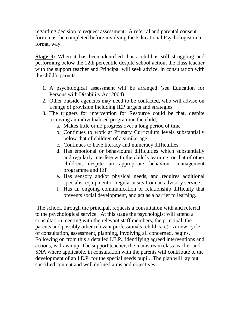regarding decision to request assessment. A referral and parental consent form must be completed before involving the Educational Psychologist in a formal way.

**Stage 3:** When it has been identified that a child is still struggling and performing below the 12th percentile despite school action, the class teacher with the support teacher and Principal will seek advice, in consultation with the child's parents.

- 1. A psychological assessment will be arranged (see Education for Persons with Disability Act 2004)
- 2. Other outside agencies may need to be contacted, who will advise on a range of provision including IEP targets and strategies
- 3. The triggers for intervention for Resource could be that, despite receiving an individualised programme the child;
	- a. Makes little or no progress over a long period of time
	- b. Continues to work at Primary Curriculum levels substantially below that of children of a similar age
	- c. Continues to have literacy and numeracy difficulties
	- d. Has emotional or behavioural difficulties which substantially and regularly interfere with the child's learning, or that of other children, despite an appropriate behaviour management programme and IEP
	- e. Has sensory and/or physical needs, and requires additional specialist equipment or regular visits from an advisory service
	- f. Has an ongoing communication or relationship difficulty that prevents social development, and act as a barrier to learning.

The school, through the principal, requests a consultation with and referral to the psychological service. At this stage the psychologist will attend a consultation meeting with the relevant staff members, the principal, the parents and possibly other relevant professionals (child care). A new cycle of consultation, assessment, planning, involving all concerned, begins. Following on from this a detailed I.E.P., identifying agreed interventions and actions, is drawn up. The support teacher, the mainstream class teacher and SNA where applicable, in consultation with the parents will contribute to the development of an I.E.P. for the special needs pupil. The plan will lay out specified content and well defined aims and objectives.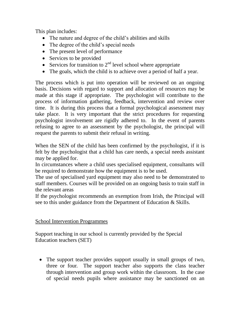This plan includes:

- The nature and degree of the child's abilities and skills
- The degree of the child's special needs
- The present level of performance
- Services to be provided
- Services for transition to  $2<sup>nd</sup>$  level school where appropriate
- The goals, which the child is to achieve over a period of half a year.

The process which is put into operation will be reviewed on an ongoing basis. Decisions with regard to support and allocation of resources may be made at this stage if appropriate. The psychologist will contribute to the process of information gathering, feedback, intervention and review over time. It is during this process that a formal psychological assessment may take place. It is very important that the strict procedures for requesting psychologist involvement are rigidly adhered to. In the event of parents refusing to agree to an assessment by the psychologist, the principal will request the parents to submit their refusal in writing.

When the SEN of the child has been confirmed by the psychologist, if it is felt by the psychologist that a child has care needs, a special needs assistant may be applied for.

In circumstances where a child uses specialised equipment, consultants will be required to demonstrate how the equipment is to be used.

The use of specialised yard equipment may also need to be demonstrated to staff members. Courses will be provided on an ongoing basis to train staff in the relevant areas

If the psychologist recommends an exemption from Irish, the Principal will see to this under guidance from the Department of Education & Skills.

#### School Intervention Programmes

Support teaching in our school is currently provided by the Special Education teachers (SET)

• The support teacher provides support usually in small groups of two, three or four. The support teacher also supports the class teacher through intervention and group work within the classroom. In the case of special needs pupils where assistance may be sanctioned on an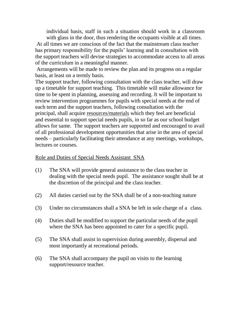individual basis, staff in such a situation should work in a classroom with glass in the door, thus rendering the occupants visible at all times.

At all times we are conscious of the fact that the mainstream class teacher has primary responsibility for the pupils' learning and in consultation with the support teachers will devise strategies to accommodate access to all areas of the curriculum in a meaningful manner.

Arrangements will be made to review the plan and its progress on a regular basis, at least on a termly basis.

The support teacher, following consultation with the class teacher, will draw up a timetable for support teaching. This timetable will make allowance for time to be spent in planning, assessing and recording. It will be important to review intervention programmes for pupils with special needs at the end of each term and the support teachers, following consultation with the principal, shall acquire resources/materials which they feel are beneficial and essential to support special needs pupils, in so far as our school budget allows for same. The support teachers are supported and encouraged to avail of all professional development opportunities that arise in the area of special needs – particularly facilitating their attendance at any meetings, workshops, lectures or courses.

#### Role and Duties of Special Needs Assistant SNA

- (1) The SNA will provide general assistance to the class teacher in dealing with the special needs pupil. The assistance sought shall be at the discretion of the principal and the class teacher.
- (2) All duties carried out by the SNA shall be of a non-teaching nature
- (3) Under no circumstances shall a SNA be left in sole charge of a class.
- (4) Duties shall be modified to support the particular needs of the pupil where the SNA has been appointed to cater for a specific pupil.
- (5) The SNA shall assist in supervision during assembly, dispersal and most importantly at recreational periods.
- (6) The SNA shall accompany the pupil on visits to the learning support/resource teacher.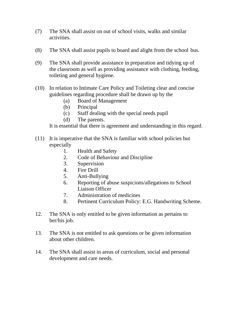- (7) The SNA shall assist on out of school visits, walks and similar activities.
- (8) The SNA shall assist pupils to board and alight from the school bus.
- (9) The SNA shall provide assistance in preparation and tidying up of the classroom as well as providing assistance with clothing, feeding, toileting and general hygiene.
- (10) In relation to Intimate Care Policy and Toileting clear and concise guidelines regarding procedure shall be drawn up by the
	- (a) Board of Management
	- (b) Principal
	- (c) Staff dealing with the special needs pupil
	- (d) The parents.

It is essential that there is agreement and understanding in this regard.

- (11) It is imperative that the SNA is familiar with school policies but especially
	- 1. Health and Safety
	- 2. Code of Behaviour and Discipline
	- 3. Supervision
	- 4. Fire Drill
	- 5. Anti-Bullying
	- 6. Reporting of abuse suspicions/allegations to School Liaison Officer
	- 7. Administration of medicines
	- 8. Pertinent Curriculum Policy: E.G. Handwriting Scheme.
- 12. The SNA is only entitled to be given information as pertains to her/his job.
- 13. The SNA is not entitled to ask questions or be given information about other children.
- 14. The SNA shall assist in areas of curriculum, social and personal development and care needs.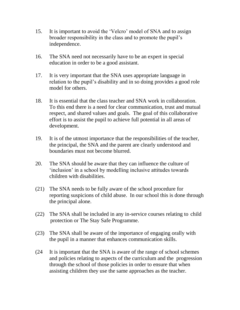- 15. It is important to avoid the 'Velcro' model of SNA and to assign broader responsibility in the class and to promote the pupil's independence.
- 16. The SNA need not necessarily have to be an expert in special education in order to be a good assistant.
- 17. It is very important that the SNA uses appropriate language in relation to the pupil's disability and in so doing provides a good role model for others.
- 18. It is essential that the class teacher and SNA work in collaboration. To this end there is a need for clear communication, trust and mutual respect, and shared values and goals. The goal of this collaborative effort is to assist the pupil to achieve full potential in all areas of development.
- 19. It is of the utmost importance that the responsibilities of the teacher, the principal, the SNA and the parent are clearly understood and boundaries must not become blurred.
- 20. The SNA should be aware that they can influence the culture of 'inclusion' in a school by modelling inclusive attitudes towards children with disabilities.
- (21) The SNA needs to be fully aware of the school procedure for reporting suspicions of child abuse. In our school this is done through the principal alone.
- (22) The SNA shall be included in any in-service courses relating to child protection or The Stay Safe Programme.
- (23) The SNA shall be aware of the importance of engaging orally with the pupil in a manner that enhances communication skills.
- (24 It is important that the SNA is aware of the range of school schemes and policies relating to aspects of the curriculum and the progression through the school of those policies in order to ensure that when assisting children they use the same approaches as the teacher.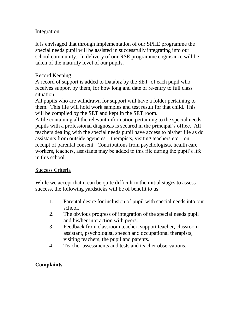#### Integration

It is envisaged that through implementation of our SPHE programme the special needs pupil will be assisted in successfully integrating into our school community. In delivery of our RSE programme cognisance will be taken of the maturity level of our pupils.

#### Record Keeping

A record of support is added to Databiz by the SET of each pupil who receives support by them, for how long and date of re-entry to full class situation.

All pupils who are withdrawn for support will have a folder pertaining to them. This file will hold work samples and test result for that child. This will be compiled by the SET and kept in the SET room.

A file containing all the relevant information pertaining to the special needs pupils with a professional diagnosis is secured in the principal's office. All teachers dealing with the special needs pupil have access to his/her file as do assistants from outside agencies – therapists, visiting teachers  $etc - on$ receipt of parental consent. Contributions from psychologists, health care workers, teachers, assistants may be added to this file during the pupil's life in this school.

#### Success Criteria

While we accept that it can be quite difficult in the initial stages to assess success, the following yardsticks will be of benefit to us

- 1. Parental desire for inclusion of pupil with special needs into our school.
- 2. The obvious progress of integration of the special needs pupil and his/her interaction with peers.
- 3 Feedback from classroom teacher, support teacher, classroom assistant, psychologist, speech and occupational therapists, visiting teachers, the pupil and parents.
- 4. Teacher assessments and tests and teacher observations.

#### **Complaints**